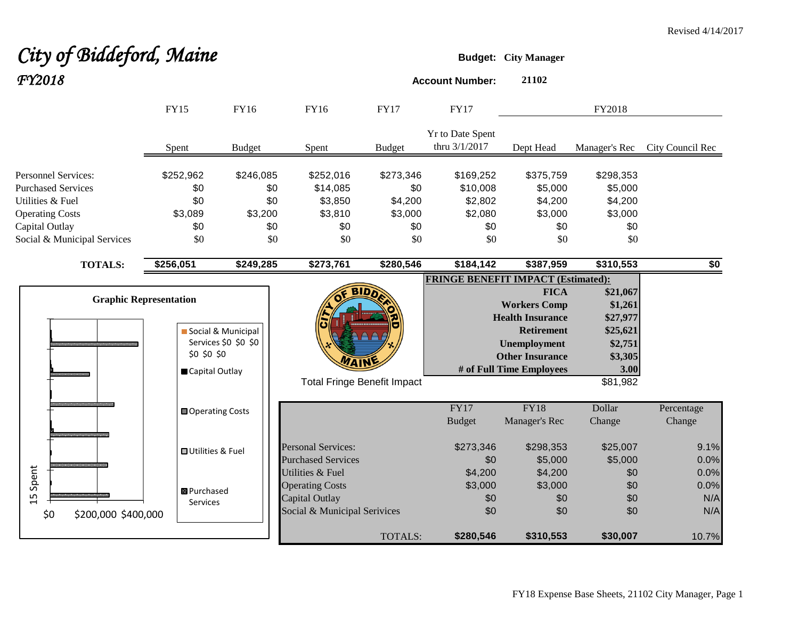# **City of Biddeford, Maine Budget:** City Manager *FY2018* **Account Number: <sup>21102</sup>**

|                               | <b>FY15</b>               | <b>FY16</b>          | <b>FY16</b>                        | <b>FY17</b>   | <b>FY17</b>                              |                                           | FY2018        |                  |
|-------------------------------|---------------------------|----------------------|------------------------------------|---------------|------------------------------------------|-------------------------------------------|---------------|------------------|
|                               | Spent                     | <b>Budget</b>        | Spent                              | <b>Budget</b> | <b>Yr to Date Spent</b><br>thru 3/1/2017 | Dept Head                                 | Manager's Rec | City Council Rec |
| <b>Personnel Services:</b>    | \$252,962                 | \$246,085            | \$252,016                          | \$273,346     | \$169,252                                | \$375,759                                 | \$298,353     |                  |
| <b>Purchased Services</b>     | \$0                       | \$0                  | \$14,085                           | \$0           | \$10,008                                 | \$5,000                                   | \$5,000       |                  |
| Utilities & Fuel              | \$0                       | \$0                  | \$3,850                            | \$4,200       | \$2,802                                  | \$4,200                                   | \$4,200       |                  |
| <b>Operating Costs</b>        | \$3,089                   | \$3,200              | \$3,810                            | \$3,000       | \$2,080                                  | \$3,000                                   | \$3,000       |                  |
| Capital Outlay                | \$0                       | \$0                  | \$0                                | \$0           | \$0                                      | \$0                                       | \$0           |                  |
| Social & Municipal Services   | \$0                       | \$0                  | \$0                                | \$0           | \$0                                      | \$0                                       | \$0           |                  |
| <b>TOTALS:</b>                | \$256,051                 | \$249,285            | \$273,761                          | \$280,546     | \$184,142                                | \$387,959                                 | \$310,553     | \$0              |
|                               |                           |                      |                                    |               |                                          | <b>FRINGE BENEFIT IMPACT (Estimated):</b> |               |                  |
|                               |                           |                      |                                    | <b>BIDD</b>   |                                          | <b>FICA</b>                               | \$21,067      |                  |
| <b>Graphic Representation</b> |                           |                      |                                    |               |                                          | <b>Workers Comp</b>                       | \$1,261       |                  |
|                               |                           |                      |                                    |               |                                          | <b>Health Insurance</b>                   | \$27,977      |                  |
|                               |                           | Social & Municipal   |                                    |               |                                          | <b>Retirement</b>                         | \$25,621      |                  |
|                               |                           | Services \$0 \$0 \$0 |                                    |               |                                          | <b>Unemployment</b>                       | \$2,751       |                  |
|                               | \$0 \$0 \$0               |                      |                                    |               |                                          | <b>Other Insurance</b>                    | \$3,305       |                  |
|                               | Capital Outlay            |                      |                                    |               |                                          | # of Full Time Employees                  | 3.00          |                  |
|                               |                           |                      | <b>Total Fringe Benefit Impact</b> |               |                                          |                                           | \$81,982      |                  |
|                               | <b>□</b> Operating Costs  |                      |                                    |               | FY17                                     | <b>FY18</b>                               | Dollar        | Percentage       |
|                               |                           |                      |                                    |               | <b>Budget</b>                            | Manager's Rec                             | Change        | Change           |
|                               | <b>□</b> Utilities & Fuel |                      | <b>Personal Services:</b>          |               | \$273,346                                | \$298,353                                 | \$25,007      | 9.1%             |
|                               |                           |                      | <b>Purchased Services</b>          |               | \$0                                      | \$5,000                                   | \$5,000       | 0.0%             |
| Spent                         |                           |                      | Utilities & Fuel                   |               | \$4,200                                  | \$4,200                                   | \$0           | 0.0%             |
|                               | 图 Purchased               |                      | <b>Operating Costs</b>             |               | \$3,000                                  | \$3,000                                   | \$0           | 0.0%             |
| 15                            | Services                  |                      | Capital Outlay                     |               | \$0                                      | \$0                                       | \$0           | N/A              |
| \$0<br>\$200,000 \$400,000    |                           |                      | Social & Municipal Serivices       |               | \$0                                      | \$0                                       | \$0           | N/A              |
|                               |                           |                      |                                    | TOTALS:       | \$280,546                                | \$310,553                                 | \$30,007      | 10.7%            |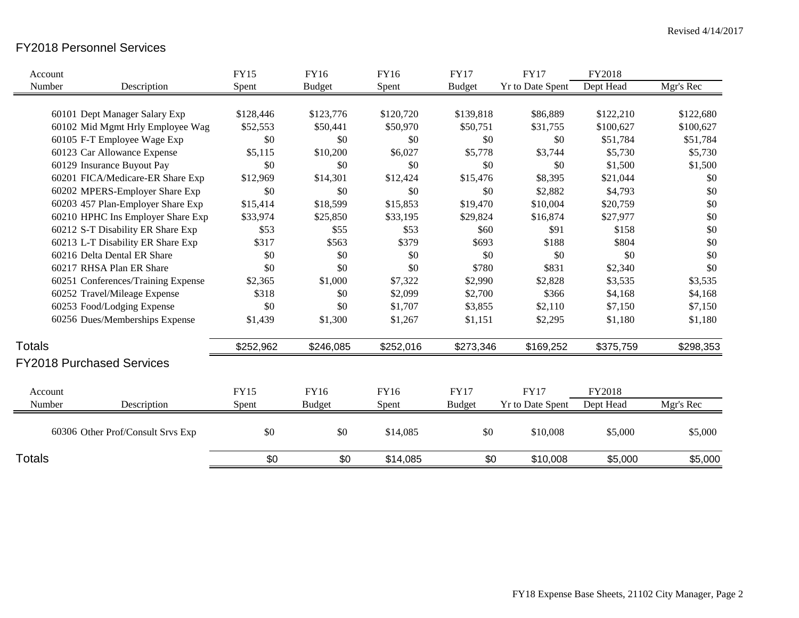### FY2018 Personnel Services

| Account       |                                    | <b>FY15</b> | <b>FY16</b>   | <b>FY16</b> | <b>FY17</b>   | <b>FY17</b>      | FY2018    |           |
|---------------|------------------------------------|-------------|---------------|-------------|---------------|------------------|-----------|-----------|
| Number        | Description                        | Spent       | <b>Budget</b> | Spent       | <b>Budget</b> | Yr to Date Spent | Dept Head | Mgr's Rec |
|               |                                    |             |               |             |               |                  |           |           |
|               | 60101 Dept Manager Salary Exp      | \$128,446   | \$123,776     | \$120,720   | \$139,818     | \$86,889         | \$122,210 | \$122,680 |
|               | 60102 Mid Mgmt Hrly Employee Wag   | \$52,553    | \$50,441      | \$50,970    | \$50,751      | \$31,755         | \$100,627 | \$100,627 |
|               | 60105 F-T Employee Wage Exp        | \$0         | \$0           | \$0         | \$0           | \$0              | \$51,784  | \$51,784  |
|               | 60123 Car Allowance Expense        | \$5,115     | \$10,200      | \$6,027     | \$5,778       | \$3,744          | \$5,730   | \$5,730   |
|               | 60129 Insurance Buyout Pay         | \$0         | \$0           | \$0         | \$0           | \$0              | \$1,500   | \$1,500   |
|               | 60201 FICA/Medicare-ER Share Exp   | \$12,969    | \$14,301      | \$12,424    | \$15,476      | \$8,395          | \$21,044  | \$0       |
|               | 60202 MPERS-Employer Share Exp     | \$0         | \$0           | \$0         | \$0           | \$2,882          | \$4,793   | \$0       |
|               | 60203 457 Plan-Employer Share Exp  | \$15,414    | \$18,599      | \$15,853    | \$19,470      | \$10,004         | \$20,759  | \$0       |
|               | 60210 HPHC Ins Employer Share Exp  | \$33,974    | \$25,850      | \$33,195    | \$29,824      | \$16,874         | \$27,977  | \$0       |
|               | 60212 S-T Disability ER Share Exp  | \$53        | \$55          | \$53        | \$60          | \$91             | \$158     | \$0       |
|               | 60213 L-T Disability ER Share Exp  | \$317       | \$563         | \$379       | \$693         | \$188            | \$804     | \$0       |
|               | 60216 Delta Dental ER Share        | \$0         | \$0           | \$0         | \$0           | \$0              | \$0       | \$0       |
|               | 60217 RHSA Plan ER Share           | \$0         | \$0           | \$0         | \$780         | \$831            | \$2,340   | \$0       |
|               | 60251 Conferences/Training Expense | \$2,365     | \$1,000       | \$7,322     | \$2,990       | \$2,828          | \$3,535   | \$3,535   |
|               | 60252 Travel/Mileage Expense       | \$318       | \$0           | \$2,099     | \$2,700       | \$366            | \$4,168   | \$4,168   |
|               | 60253 Food/Lodging Expense         | \$0         | \$0           | \$1,707     | \$3,855       | \$2,110          | \$7,150   | \$7,150   |
|               | 60256 Dues/Memberships Expense     | \$1,439     | \$1,300       | \$1,267     | \$1,151       | \$2,295          | \$1,180   | \$1,180   |
| <b>Totals</b> |                                    | \$252,962   | \$246,085     | \$252,016   | \$273,346     | \$169,252        | \$375,759 | \$298,353 |
|               | <b>FY2018 Purchased Services</b>   |             |               |             |               |                  |           |           |
| Account       |                                    | <b>FY15</b> | FY16          | <b>FY16</b> | <b>FY17</b>   | <b>FY17</b>      | FY2018    |           |
|               |                                    |             |               |             |               |                  |           |           |
| Number        | Description                        | Spent       | <b>Budget</b> | Spent       | <b>Budget</b> | Yr to Date Spent | Dept Head | Mgr's Rec |
|               | 60306 Other Prof/Consult Srvs Exp  | \$0         | \$0           | \$14,085    | \$0           | \$10,008         | \$5,000   | \$5,000   |
| <b>Totals</b> |                                    | \$0         | \$0           | \$14,085    | \$0           | \$10,008         | \$5,000   | \$5,000   |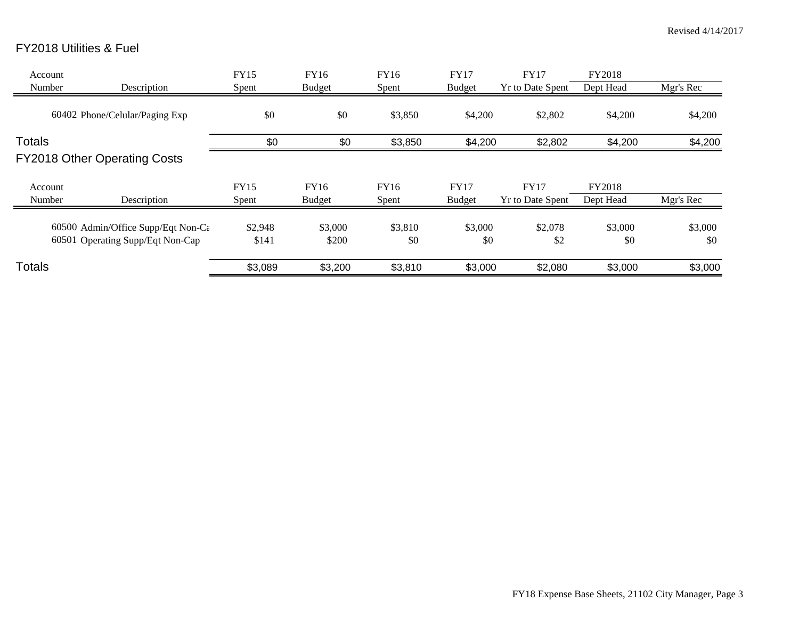## FY2018 Utilities & Fuel

| Account<br>Number | Description                                                                         | <b>FY15</b><br>Spent | FY16<br><b>Budget</b> | FY16<br>Spent        | <b>FY17</b><br><b>Budget</b> | <b>FY17</b><br><b>Yr to Date Spent</b> | FY2018<br>Dept Head | Mgr's Rec      |
|-------------------|-------------------------------------------------------------------------------------|----------------------|-----------------------|----------------------|------------------------------|----------------------------------------|---------------------|----------------|
|                   | 60402 Phone/Celular/Paging Exp                                                      | \$0                  | \$0                   | \$3,850              | \$4,200                      | \$2,802                                | \$4,200             | \$4,200        |
| <b>Totals</b>     | <b>FY2018 Other Operating Costs</b>                                                 | \$0                  | \$0                   | \$3,850              | \$4,200                      | \$2,802                                | \$4,200             | \$4,200        |
| Account<br>Number | Description                                                                         | FY15<br>Spent        | FY16<br><b>Budget</b> | <b>FY16</b><br>Spent | <b>FY17</b><br><b>Budget</b> | <b>FY17</b><br><b>Yr to Date Spent</b> | FY2018<br>Dept Head | Mgr's Rec      |
|                   | 60500 Admin/Office Supp/Eqt Non-C $\varepsilon$<br>60501 Operating Supp/Eqt Non-Cap | \$2,948<br>\$141     | \$3,000<br>\$200      | \$3,810<br>\$0       | \$3,000<br>\$0               | \$2,078<br>\$2                         | \$3,000<br>\$0      | \$3,000<br>\$0 |
| Totals            |                                                                                     | \$3,089              | \$3,200               | \$3,810              | \$3,000                      | \$2,080                                | \$3,000             | \$3,000        |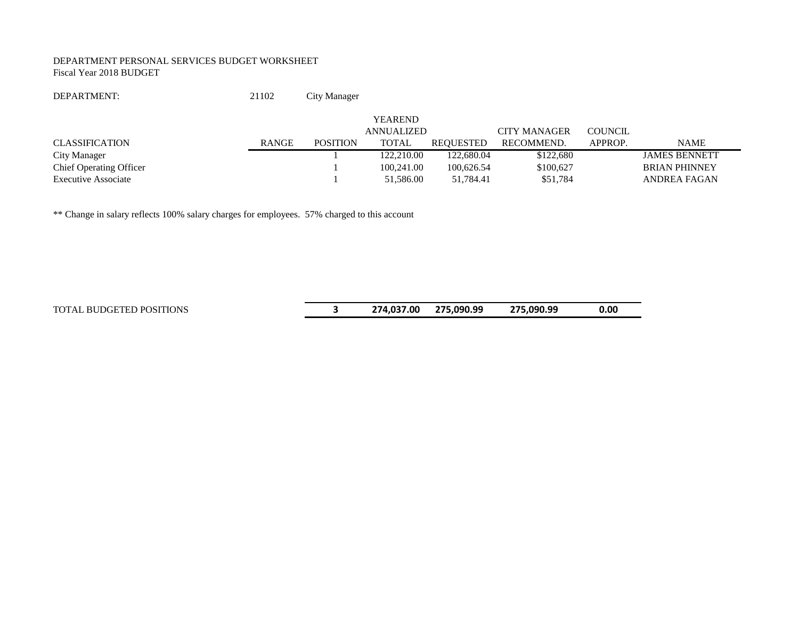#### DEPARTMENT PERSONAL SERVICES BUDGET WORKSHEET Fiscal Year 2018 BUDGET

DEPARTMENT: 21102 City Manager

|                                |              |                 | <b>YEAREND</b> |            |              |         |                      |
|--------------------------------|--------------|-----------------|----------------|------------|--------------|---------|----------------------|
|                                |              |                 | ANNUALIZED     |            | CITY MANAGER | COUNCIL |                      |
| CLASSIFICATION                 | <b>RANGE</b> | <b>POSITION</b> | TOTAL          | REOUESTED  | RECOMMEND.   | APPROP. | <b>NAME</b>          |
| City Manager                   |              |                 | 122,210.00     | 122,680.04 | \$122,680    |         | <b>JAMES BENNETT</b> |
| <b>Chief Operating Officer</b> |              |                 | 100.241.00     | 100.626.54 | \$100.627    |         | <b>BRIAN PHINNEY</b> |
| <b>Executive Associate</b>     |              |                 | 51,586.00      | 51.784.41  | \$51,784     |         | ANDREA FAGAN         |

\*\* Change in salary reflects 100% salary charges for employees. 57% charged to this account

TOTAL BUDGETED POSITIONS **3 274,037.00 275,090.99 275,090.99 0.00**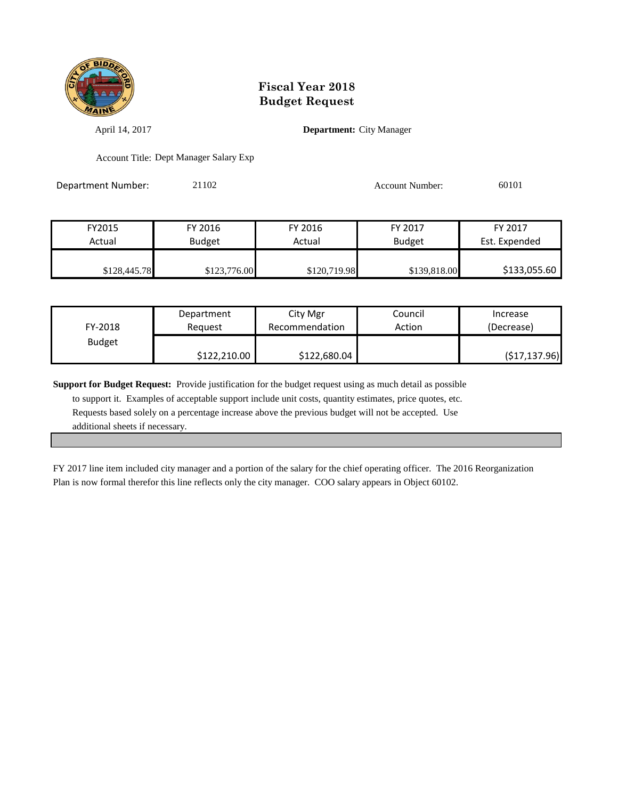

April 14, 2017 **Department:** City Manager

Account Title: Dept Manager Salary Exp

Department Number: 21102 Account Number: 60101

| FY2015       | FY 2016       | FY 2016      | FY 2017       | FY 2017       |
|--------------|---------------|--------------|---------------|---------------|
| Actual       | <b>Budget</b> | Actual       | <b>Budget</b> | Est. Expended |
|              |               |              |               |               |
| \$128,445.78 | \$123,776.00  | \$120,719.98 | \$139,818.00  | \$133,055.60  |

| FY-2018       | Department   | City Mgr       | Council | Increase      |
|---------------|--------------|----------------|---------|---------------|
|               | Reauest      | Recommendation | Action  | (Decrease)    |
| <b>Budget</b> | \$122,210.00 | \$122,680.04   |         | (517, 137.96) |

**Support for Budget Request:** Provide justification for the budget request using as much detail as possible to support it. Examples of acceptable support include unit costs, quantity estimates, price quotes, etc. Requests based solely on a percentage increase above the previous budget will not be accepted. Use additional sheets if necessary.

FY 2017 line item included city manager and a portion of the salary for the chief operating officer. The 2016 Reorganization Plan is now formal therefor this line reflects only the city manager. COO salary appears in Object 60102.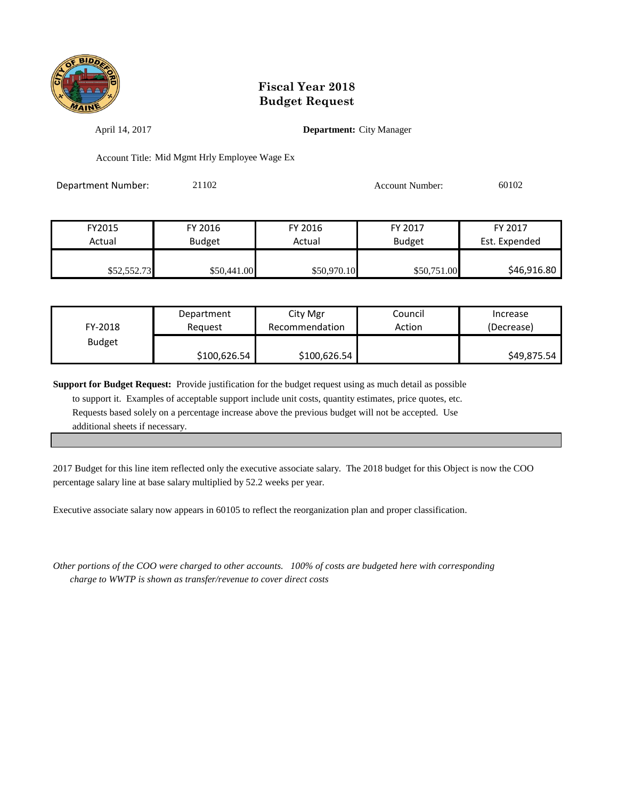

April 14, 2017 **Department:** City Manager

Account Title: Mid Mgmt Hrly Employee Wage Ex

Department Number: 21102 20102 Account Number: 60102

| FY2015      | FY 2016       | FY 2016     | FY 2017       | FY 2017       |
|-------------|---------------|-------------|---------------|---------------|
| Actual      | <b>Budget</b> | Actual      | <b>Budget</b> | Est. Expended |
|             |               |             |               |               |
| \$52,552.73 | \$50,441.00   | \$50,970.10 | \$50,751.00   | \$46,916.80   |

| FY-2018       | Department   | City Mgr       | Council | Increase    |
|---------------|--------------|----------------|---------|-------------|
|               | Reauest      | Recommendation | Action  | (Decrease)  |
| <b>Budget</b> | \$100,626.54 | \$100,626.54   |         | \$49,875.54 |

**Support for Budget Request:** Provide justification for the budget request using as much detail as possible to support it. Examples of acceptable support include unit costs, quantity estimates, price quotes, etc. Requests based solely on a percentage increase above the previous budget will not be accepted. Use additional sheets if necessary.

2017 Budget for this line item reflected only the executive associate salary. The 2018 budget for this Object is now the COO percentage salary line at base salary multiplied by 52.2 weeks per year.

Executive associate salary now appears in 60105 to reflect the reorganization plan and proper classification.

*Other portions of the COO were charged to other accounts. 100% of costs are budgeted here with corresponding charge to WWTP is shown as transfer/revenue to cover direct costs*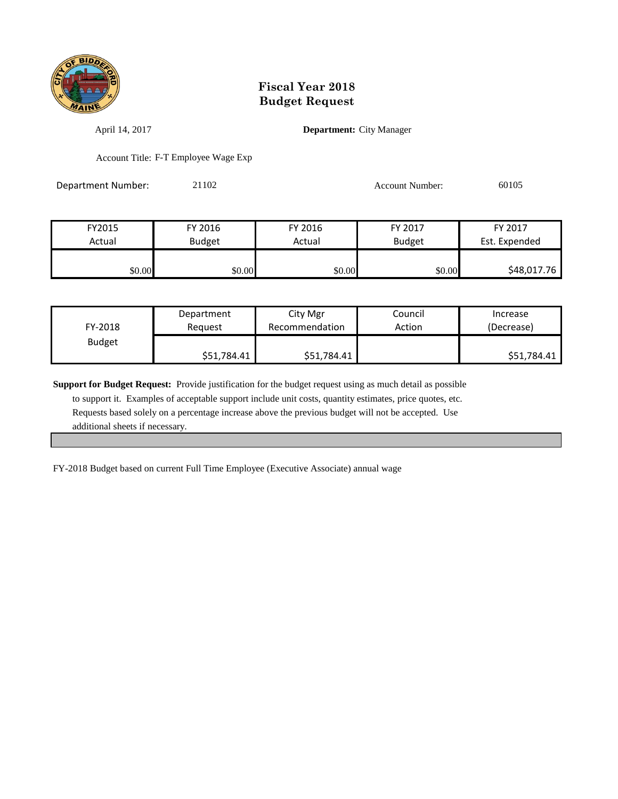

April 14, 2017 **Department:** City Manager

Account Title: F-T Employee Wage Exp

Department Number: 21102 20105<br>
20105

| FY2015 | FY 2016       | FY 2016 | FY 2017       | FY 2017       |
|--------|---------------|---------|---------------|---------------|
| Actual | <b>Budget</b> | Actual  | <b>Budget</b> | Est. Expended |
|        |               |         |               |               |
| \$0.00 | \$0.00        | \$0.00  | \$0.00        | \$48,017.76   |

| FY-2018       | Department  | City Mgr       | Council | Increase    |
|---------------|-------------|----------------|---------|-------------|
|               | Reauest     | Recommendation | Action  | (Decrease)  |
| <b>Budget</b> | \$51,784.41 | \$51,784.41    |         | \$51,784.41 |

**Support for Budget Request:** Provide justification for the budget request using as much detail as possible to support it. Examples of acceptable support include unit costs, quantity estimates, price quotes, etc. Requests based solely on a percentage increase above the previous budget will not be accepted. Use additional sheets if necessary.

FY-2018 Budget based on current Full Time Employee (Executive Associate) annual wage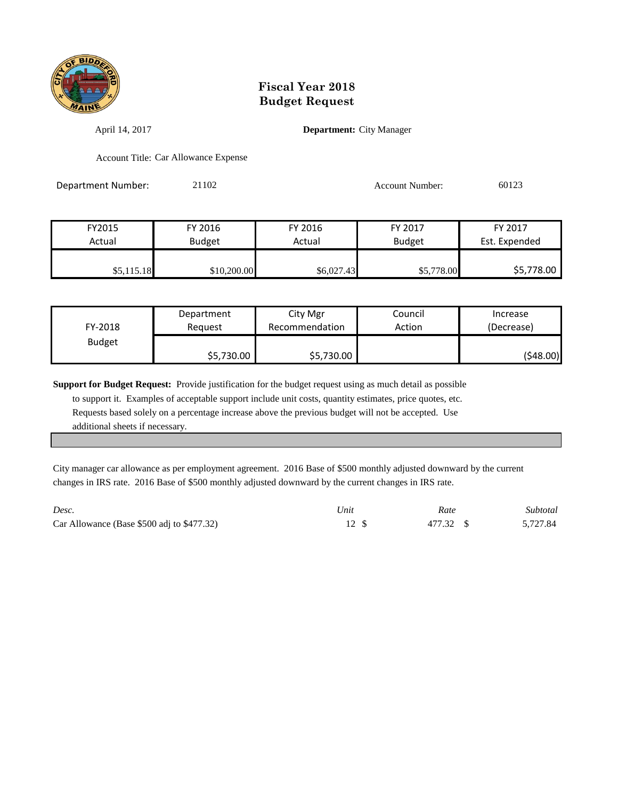

April 14, 2017 **Department:** City Manager

Account Title: Car Allowance Expense

Department Number: 21102 2010 20123

| FY2015     | FY 2016       | FY 2016    | FY 2017       | FY 2017       |
|------------|---------------|------------|---------------|---------------|
| Actual     | <b>Budget</b> | Actual     | <b>Budget</b> | Est. Expended |
|            |               |            |               |               |
| \$5,115.18 | \$10,200.00   | \$6,027.43 | \$5,778.00    | \$5,778.00    |

| FY-2018       | Department | City Mgr       | Council | Increase   |
|---------------|------------|----------------|---------|------------|
|               | Reauest    | Recommendation | Action  | (Decrease) |
| <b>Budget</b> | \$5,730.00 | \$5,730.00     |         | (\$48.00)  |

**Support for Budget Request:** Provide justification for the budget request using as much detail as possible

 to support it. Examples of acceptable support include unit costs, quantity estimates, price quotes, etc. Requests based solely on a percentage increase above the previous budget will not be accepted. Use additional sheets if necessary.

City manager car allowance as per employment agreement. 2016 Base of \$500 monthly adjusted downward by the current changes in IRS rate. 2016 Base of \$500 monthly adjusted downward by the current changes in IRS rate.

| Desc.                                         | Unit | Rate      | Subtotal |
|-----------------------------------------------|------|-----------|----------|
| Car Allowance (Base $$500$ adj to $$477.32$ ) |      | 477.32 \$ | 5,727.84 |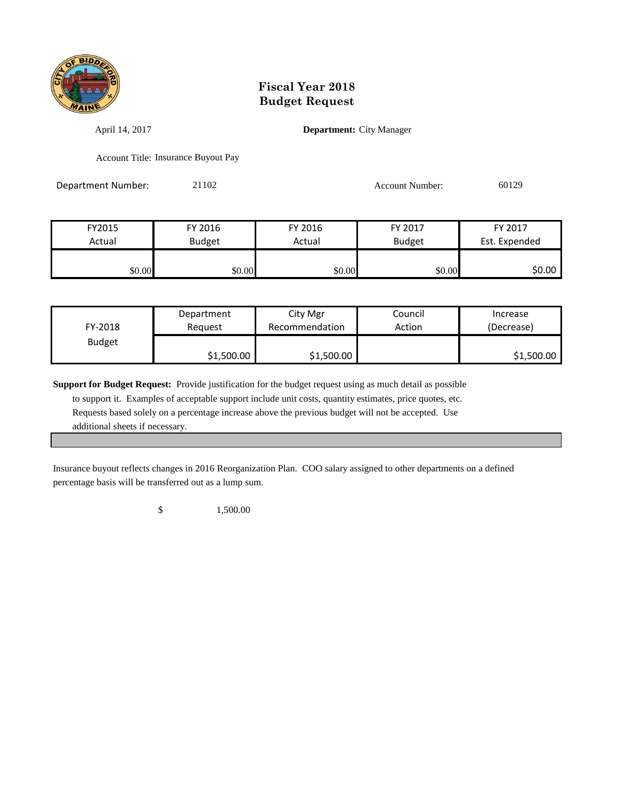

April 14, 2017 **Department:** City Manager

Account Title: Insurance Buyout Pay

Department Number: 21102 2010 20129 Account Number: 60129

FY2015 FY 2016 FY 2016 FY 2017 FY 2017 Actual **Budget Actual Budget** Budget **Est. Expended** \$0.00 \$0.00 \$0.00 \$0.00 \$0.00 \$0.00 \$0.00 \$0.00

| FY-2018       | Department | City Mgr       | Council | Increase   |
|---------------|------------|----------------|---------|------------|
|               | Reauest    | Recommendation | Action  | (Decrease) |
| <b>Budget</b> | \$1,500.00 | \$1,500.00     |         | \$1,500.00 |

**Support for Budget Request:** Provide justification for the budget request using as much detail as possible to support it. Examples of acceptable support include unit costs, quantity estimates, price quotes, etc. Requests based solely on a percentage increase above the previous budget will not be accepted. Use additional sheets if necessary.

Insurance buyout reflects changes in 2016 Reorganization Plan. COO salary assigned to other departments on a defined percentage basis will be transferred out as a lump sum.

\$ 1,500.00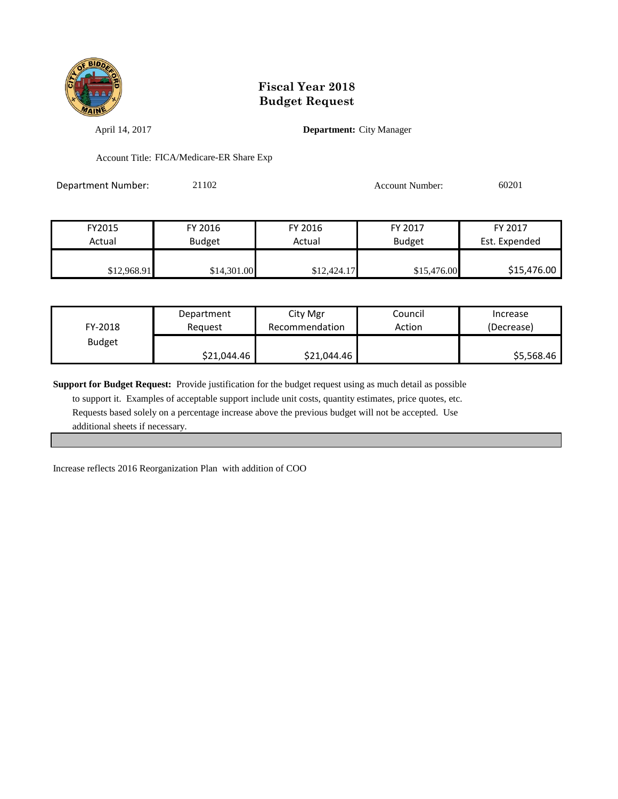

April 14, 2017 **Department:** City Manager

Account Title: FICA/Medicare-ER Share Exp

Department Number: 21102 Account Number: 60201

| FY2015      | FY 2016       | FY 2016     | FY 2017       | FY 2017       |
|-------------|---------------|-------------|---------------|---------------|
| Actual      | <b>Budget</b> | Actual      | <b>Budget</b> | Est. Expended |
|             |               |             |               |               |
| \$12,968.91 | \$14,301.00   | \$12,424.17 | \$15,476.00   | \$15,476.00   |

| FY-2018       | Department  | City Mgr       | Council | Increase   |
|---------------|-------------|----------------|---------|------------|
|               | Reauest     | Recommendation | Action  | (Decrease) |
| <b>Budget</b> | \$21,044.46 | \$21,044.46    |         | \$5,568.46 |

**Support for Budget Request:** Provide justification for the budget request using as much detail as possible

 to support it. Examples of acceptable support include unit costs, quantity estimates, price quotes, etc. Requests based solely on a percentage increase above the previous budget will not be accepted. Use additional sheets if necessary.

Increase reflects 2016 Reorganization Plan with addition of COO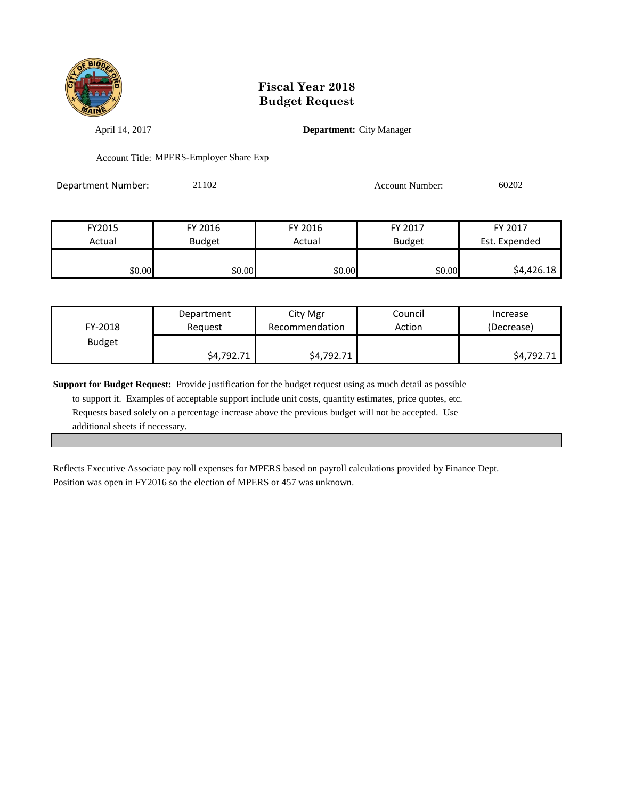

April 14, 2017 **Department:** City Manager

Account Title: MPERS-Employer Share Exp

| Department Number: | 21102 | Account Number: | 60202 |
|--------------------|-------|-----------------|-------|
|                    |       |                 |       |

| FY2015 | FY 2016       | FY 2016 | FY 2017       | FY 2017       |
|--------|---------------|---------|---------------|---------------|
| Actual | <b>Budget</b> | Actual  | <b>Budget</b> | Est. Expended |
|        |               |         |               |               |
| \$0.00 | \$0.00        | \$0.00  | \$0.00        | \$4,426.18    |

| FY-2018       | Department | City Mgr       | Council | Increase   |
|---------------|------------|----------------|---------|------------|
|               | Reauest    | Recommendation | Action  | (Decrease) |
| <b>Budget</b> | \$4,792.71 | \$4,792.71     |         | \$4,792.71 |

**Support for Budget Request:** Provide justification for the budget request using as much detail as possible to support it. Examples of acceptable support include unit costs, quantity estimates, price quotes, etc. Requests based solely on a percentage increase above the previous budget will not be accepted. Use additional sheets if necessary.

Reflects Executive Associate pay roll expenses for MPERS based on payroll calculations provided by Finance Dept. Position was open in FY2016 so the election of MPERS or 457 was unknown.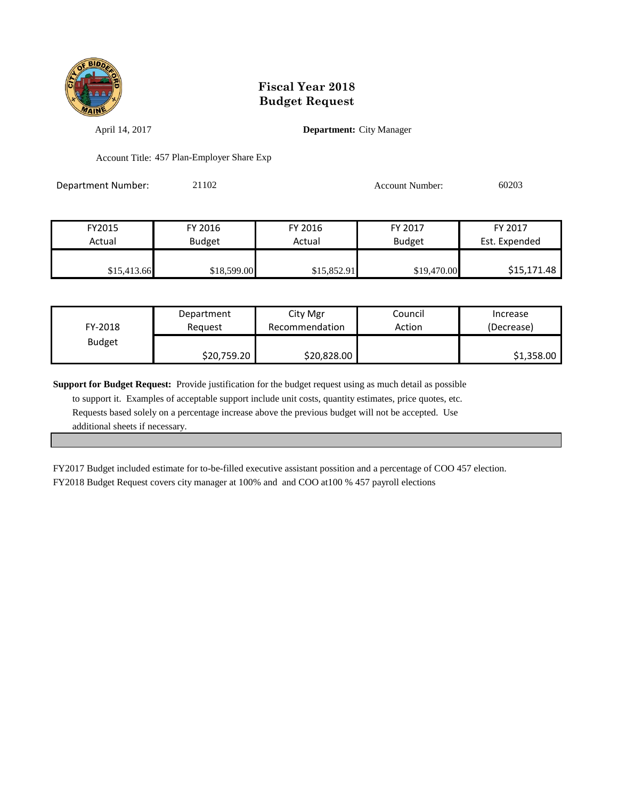

April 14, 2017 **Department:** City Manager

Account Title: 457 Plan-Employer Share Exp

| Department Number: | 21102 | Account Number: | 60203 |
|--------------------|-------|-----------------|-------|
|                    |       |                 |       |

| FY2015      | FY 2016       | FY 2016     | FY 2017       | FY 2017       |
|-------------|---------------|-------------|---------------|---------------|
| Actual      | <b>Budget</b> | Actual      | <b>Budget</b> | Est. Expended |
|             |               |             |               |               |
| \$15,413.66 | \$18,599.00   | \$15,852.91 | \$19,470.00   | \$15,171.48   |

| FY-2018       | Department  | City Mgr       | Council | Increase   |
|---------------|-------------|----------------|---------|------------|
|               | Reauest     | Recommendation | Action  | (Decrease) |
| <b>Budget</b> | \$20,759.20 | \$20,828.00    |         | \$1,358.00 |

**Support for Budget Request:** Provide justification for the budget request using as much detail as possible to support it. Examples of acceptable support include unit costs, quantity estimates, price quotes, etc. Requests based solely on a percentage increase above the previous budget will not be accepted. Use additional sheets if necessary.

FY2017 Budget included estimate for to-be-filled executive assistant possition and a percentage of COO 457 election. FY2018 Budget Request covers city manager at 100% and and COO at100 % 457 payroll elections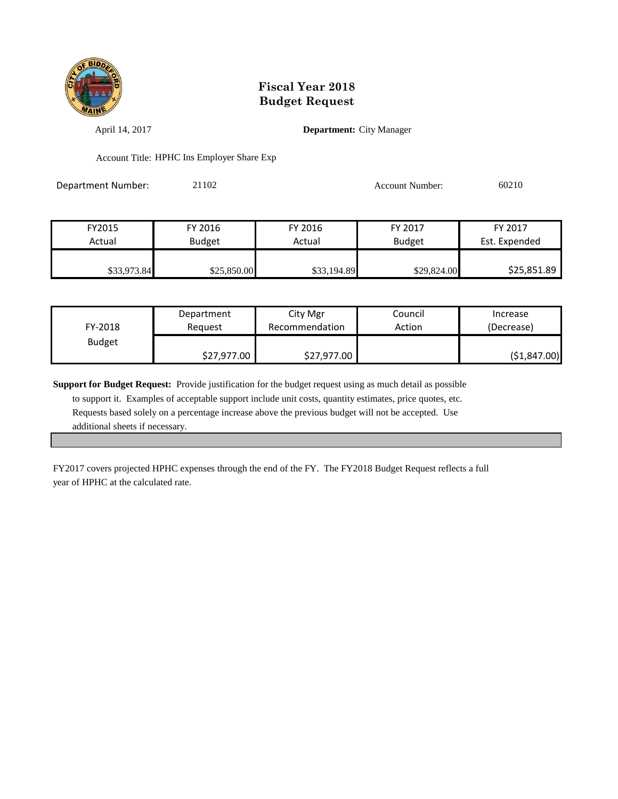

April 14, 2017 **Department:** City Manager

Account Title: HPHC Ins Employer Share Exp

| Department Number: | 21102 | <b>Account Number:</b> | 60210 |
|--------------------|-------|------------------------|-------|
|                    |       |                        |       |

| FY2015      | FY 2016       | FY 2016     | FY 2017       | FY 2017       |
|-------------|---------------|-------------|---------------|---------------|
| Actual      | <b>Budget</b> | Actual      | <b>Budget</b> | Est. Expended |
|             |               |             |               |               |
| \$33,973.84 | \$25,850.00   | \$33,194.89 | \$29,824.00   | \$25,851.89   |

| FY-2018       | Department  | City Mgr       | Council | Increase     |
|---------------|-------------|----------------|---------|--------------|
|               | Reguest     | Recommendation | Action  | (Decrease)   |
| <b>Budget</b> | \$27,977.00 | \$27,977.00    |         | (51, 847.00) |

**Support for Budget Request:** Provide justification for the budget request using as much detail as possible to support it. Examples of acceptable support include unit costs, quantity estimates, price quotes, etc. Requests based solely on a percentage increase above the previous budget will not be accepted. Use additional sheets if necessary.

FY2017 covers projected HPHC expenses through the end of the FY. The FY2018 Budget Request reflects a full year of HPHC at the calculated rate.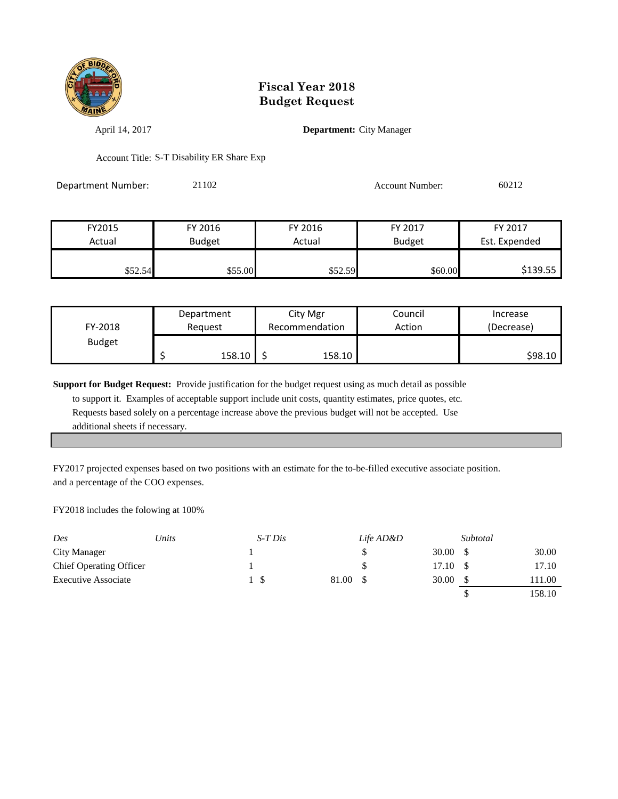

April 14, 2017 **Department:** City Manager

Account Title: S-T Disability ER Share Exp

Department Number: 21102 Account Number: 60212

| FY2015  | FY 2016       | FY 2016 | FY 2017       | FY 2017       |
|---------|---------------|---------|---------------|---------------|
| Actual  | <b>Budget</b> | Actual  | <b>Budget</b> | Est. Expended |
|         |               |         |               |               |
| \$52.54 | \$55.00       | \$52.59 | \$60.00       | \$139.55      |

| Department<br>FY-2018<br>Reguest |  |        | City Mgr<br>Recommendation | Council<br>Action | Increase<br>(Decrease) |
|----------------------------------|--|--------|----------------------------|-------------------|------------------------|
| <b>Budget</b>                    |  | 158.10 | 158.10                     |                   | \$98.10                |

**Support for Budget Request:** Provide justification for the budget request using as much detail as possible

 to support it. Examples of acceptable support include unit costs, quantity estimates, price quotes, etc. Requests based solely on a percentage increase above the previous budget will not be accepted. Use additional sheets if necessary.

FY2017 projected expenses based on two positions with an estimate for the to-be-filled executive associate position. and a percentage of the COO expenses.

FY2018 includes the folowing at 100%

| Des                            | Units | $S$ -T Dis |       | Life AD&D |       | Subtotal |        |
|--------------------------------|-------|------------|-------|-----------|-------|----------|--------|
| City Manager                   |       |            |       |           | 30.00 |          | 30.00  |
| <b>Chief Operating Officer</b> |       |            |       |           | 17.10 |          | 17.10  |
| <b>Executive Associate</b>     |       |            | 81.00 |           | 30.00 |          | 11.00  |
|                                |       |            |       |           |       |          | 158.10 |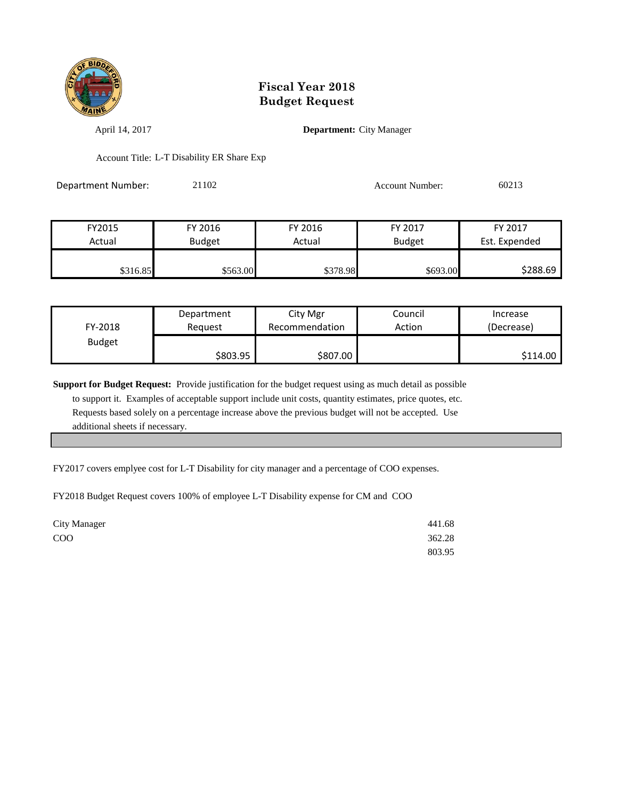

April 14, 2017 **Department:** City Manager

Account Title: L-T Disability ER Share Exp

Department Number: 21102 Account Number: 60213

| FY2015   | FY 2016       | FY 2016  | FY 2017       | FY 2017       |
|----------|---------------|----------|---------------|---------------|
| Actual   | <b>Budget</b> | Actual   | <b>Budget</b> | Est. Expended |
|          |               |          |               |               |
| \$316.85 | \$563.00      | \$378.98 | \$693.00      | \$288.69      |

| FY-2018       | Department | City Mgr       | Council | Increase   |
|---------------|------------|----------------|---------|------------|
|               | Reguest    | Recommendation | Action  | (Decrease) |
| <b>Budget</b> | \$803.95∣  | \$807.00       |         | \$114.00   |

**Support for Budget Request:** Provide justification for the budget request using as much detail as possible to support it. Examples of acceptable support include unit costs, quantity estimates, price quotes, etc. Requests based solely on a percentage increase above the previous budget will not be accepted. Use additional sheets if necessary.

FY2017 covers emplyee cost for L-T Disability for city manager and a percentage of COO expenses.

FY2018 Budget Request covers 100% of employee L-T Disability expense for CM and COO

| <b>City Manager</b> | 441.68 |
|---------------------|--------|
| COO                 | 362.28 |
|                     | 803.95 |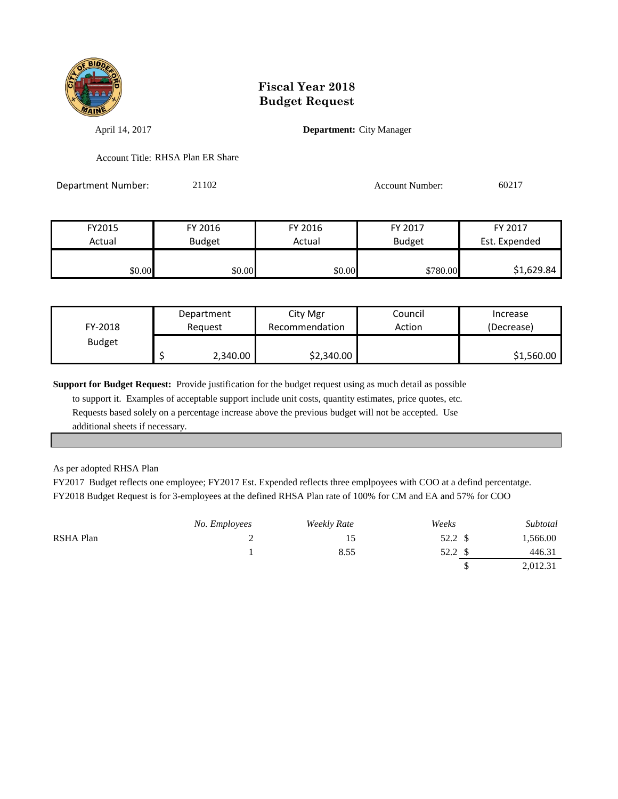

April 14, 2017 **Department:** City Manager

Account Title: RHSA Plan ER Share

Department Number: 21102 Account Number: 60217

| FY2015 | FY 2016       | FY 2016 | FY 2017       | FY 2017       |
|--------|---------------|---------|---------------|---------------|
| Actual | <b>Budget</b> | Actual  | <b>Budget</b> | Est. Expended |
|        |               |         |               |               |
| \$0.00 | \$0.00        | \$0.00  | \$780.00      | \$1,629.84    |

| FY-2018       | Department |          | City Mgr       | Council | Increase   |
|---------------|------------|----------|----------------|---------|------------|
|               | Reauest    |          | Recommendation | Action  | (Decrease) |
| <b>Budget</b> |            | 2,340.00 | \$2,340.00     |         | \$1,560.00 |

**Support for Budget Request:** Provide justification for the budget request using as much detail as possible

 to support it. Examples of acceptable support include unit costs, quantity estimates, price quotes, etc. Requests based solely on a percentage increase above the previous budget will not be accepted. Use additional sheets if necessary.

As per adopted RHSA Plan

FY2017 Budget reflects one employee; FY2017 Est. Expended reflects three emplpoyees with COO at a defind percentatge. FY2018 Budget Request is for 3-employees at the defined RHSA Plan rate of 100% for CM and EA and 57% for COO

|           | No. Employees | <b>Weekly Rate</b> | Weeks | Subtotal |
|-----------|---------------|--------------------|-------|----------|
| RSHA Plan |               | 15                 | 52.2  | 1,566.00 |
|           |               | 8.55               | 52.2  | 446.31   |
|           |               |                    |       | 2,012.31 |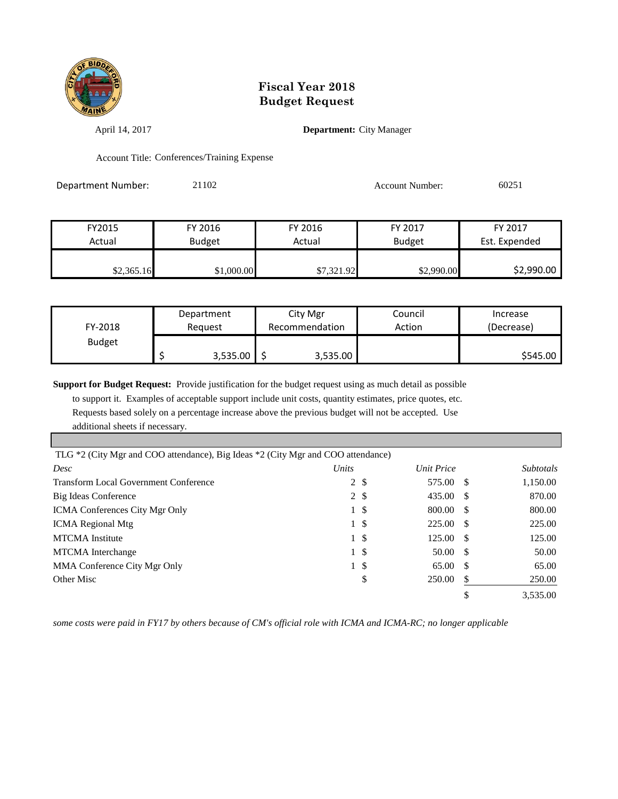

April 14, 2017 **Department:** City Manager

Account Title: Conferences/Training Expense

Department Number: 21102 Account Number: 60251

| FY2015     | FY 2016<br>FY 2016 |            | FY 2017       | FY 2017       |
|------------|--------------------|------------|---------------|---------------|
| Actual     | <b>Budget</b>      | Actual     | <b>Budget</b> | Est. Expended |
|            |                    |            |               |               |
| \$2,365.16 | \$1,000.00         | \$7,321.92 | \$2,990.00    | \$2,990.00    |

| FY-2018       | Department |          | City Mgr       |          | Council | Increase   |
|---------------|------------|----------|----------------|----------|---------|------------|
|               | Reguest    |          | Recommendation |          | Action  | (Decrease) |
| <b>Budget</b> |            | 3,535.00 |                | 3,535.00 |         | \$545.00   |

**Support for Budget Request:** Provide justification for the budget request using as much detail as possible

 to support it. Examples of acceptable support include unit costs, quantity estimates, price quotes, etc. Requests based solely on a percentage increase above the previous budget will not be accepted. Use additional sheets if necessary.

| TLG *2 (City Mgr and COO attendance), Big Ideas *2 (City Mgr and COO attendance) |              |               |                   |   |                  |
|----------------------------------------------------------------------------------|--------------|---------------|-------------------|---|------------------|
| Desc                                                                             | Units        |               | Unit Price        |   | <b>Subtotals</b> |
| <b>Transform Local Government Conference</b>                                     |              | $2 \sqrt{s}$  | 575.00 \$         |   | 1,150.00         |
| Big Ideas Conference                                                             |              | $2 \sqrt{s}$  | 435.00 \$         |   | 870.00           |
| <b>ICMA</b> Conferences City Mgr Only                                            |              | 1 \$          | 800.00 \$         |   | 800.00           |
| <b>ICMA</b> Regional Mtg                                                         |              | 1 \$          | 225.00 \$         |   | 225.00           |
| <b>MTCMA</b> Institute                                                           |              | $1 \text{ }$  | $125.00 \quad$ \$ |   | 125.00           |
| <b>MTCMA</b> Interchange                                                         |              | 1 \$          | 50.00 \$          |   | 50.00            |
| MMA Conference City Mgr Only                                                     | $\mathbf{1}$ | <sup>\$</sup> | 65.00 \$          |   | 65.00            |
| Other Misc                                                                       |              | \$            | 250.00            | S | 250.00           |
|                                                                                  |              |               |                   |   | 3,535.00         |

*some costs were paid in FY17 by others because of CM's official role with ICMA and ICMA-RC; no longer applicable*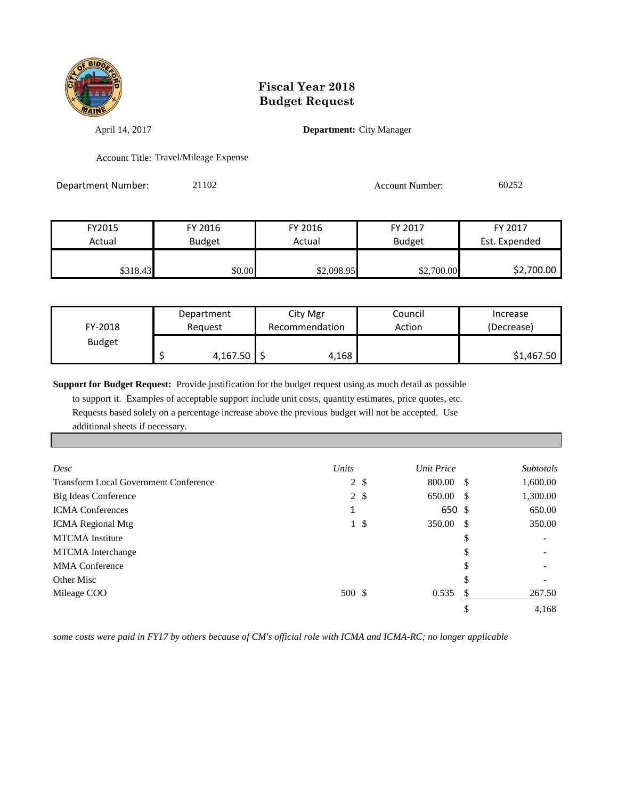

April 14, 2017 **Department:** City Manager

Account Title: Travel/Mileage Expense

Department Number: 21102 Account Number: 60252

| FY2015   | FY 2016       | FY 2016    | FY 2017       | FY 2017       |
|----------|---------------|------------|---------------|---------------|
| Actual   | <b>Budget</b> | Actual     | <b>Budget</b> | Est. Expended |
|          |               |            |               |               |
| \$318.43 | \$0.00        | \$2,098.95 | \$2,700.00    | \$2,700.00    |

| FY-2018       | Department |          | City Mgr       |       | Council | Increase   |
|---------------|------------|----------|----------------|-------|---------|------------|
|               | Reguest    |          | Recommendation |       | Action  | (Decrease) |
| <b>Budget</b> |            | 4,167.50 |                | 4,168 |         | \$1,467.50 |

**Support for Budget Request:** Provide justification for the budget request using as much detail as possible

 to support it. Examples of acceptable support include unit costs, quantity estimates, price quotes, etc. Requests based solely on a percentage increase above the previous budget will not be accepted. Use additional sheets if necessary.

| Desc                                         | Units  |              | Unit Price |    | <b>Subtotals</b>         |
|----------------------------------------------|--------|--------------|------------|----|--------------------------|
| <b>Transform Local Government Conference</b> |        | $2 \sqrt{s}$ | 800.00 \$  |    | 1,600.00                 |
| Big Ideas Conference                         |        | $2 \sqrt{s}$ | 650.00 \$  |    | 1,300.00                 |
| <b>ICMA</b> Conferences                      | 1      |              | 650 \$     |    | 650.00                   |
| <b>ICMA</b> Regional Mtg                     | 1      | -\$          | 350.00 \$  |    | 350.00                   |
| <b>MTCMA</b> Institute                       |        |              |            | \$ | $\overline{\phantom{a}}$ |
| <b>MTCMA</b> Interchange                     |        |              |            | \$ | $\overline{\phantom{a}}$ |
| <b>MMA</b> Conference                        |        |              |            | S  |                          |
| Other Misc                                   |        |              |            | \$ |                          |
| Mileage COO                                  | 500 \$ |              | 0.535      | S  | 267.50                   |
|                                              |        |              |            |    | 4,168                    |

*some costs were paid in FY17 by others because of CM's official role with ICMA and ICMA-RC; no longer applicable*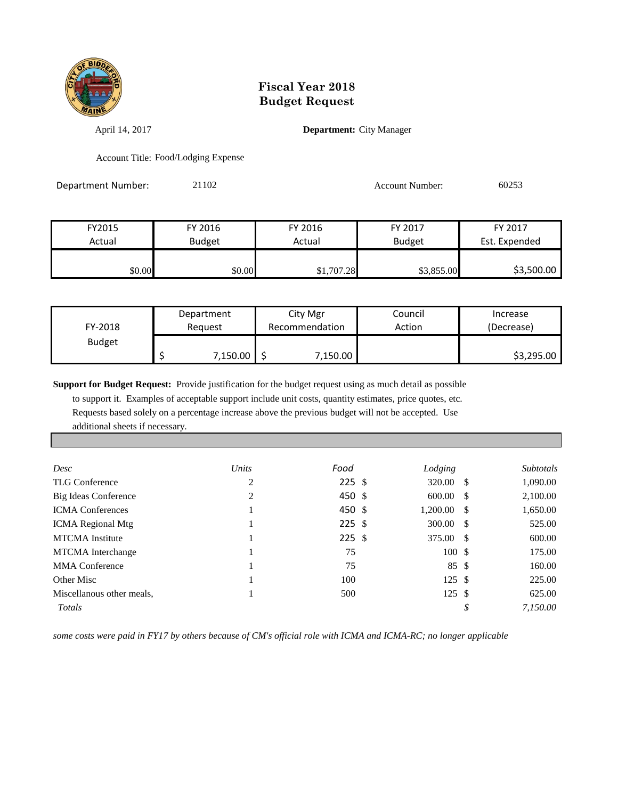

April 14, 2017 **Department:** City Manager

Account Title: Food/Lodging Expense

Department Number: 21102 Account Number: 60253

FY2015 FY 2016 FY 2016 FY 2017 FY 2017 Actual Budget Actual Budget Est. Expended

\$0.00 \$0.00 \$1,707.28 \$3,855.00 \$3,500.00

| FY-2018       | Department |          | City Mgr       |          | Council | Increase   |
|---------------|------------|----------|----------------|----------|---------|------------|
|               | Reauest    |          | Recommendation |          | Action  | (Decrease) |
| <b>Budget</b> |            | 7,150.00 |                | 7,150.00 |         | \$3,295.00 |

**Support for Budget Request:** Provide justification for the budget request using as much detail as possible

 to support it. Examples of acceptable support include unit costs, quantity estimates, price quotes, etc. Requests based solely on a percentage increase above the previous budget will not be accepted. Use additional sheets if necessary.

| Desc                      | Units | Food     | Lodging       | <i>Subtotals</i> |
|---------------------------|-------|----------|---------------|------------------|
| TLG Conference            | 2     | $225$ \$ | 320.00 \$     | 1,090.00         |
| Big Ideas Conference      | 2     | 450 \$   | 600.00 S      | 2,100.00         |
| <b>ICMA Conferences</b>   |       | 450 \$   | $1,200.00$ \$ | 1,650.00         |
| <b>ICMA</b> Regional Mtg  |       | $225$ \$ | 300.00 S      | 525.00           |
| <b>MTCMA</b> Institute    |       | $225$ \$ | 375.00 \$     | 600.00           |
| <b>MTCMA</b> Interchange  |       | 75       | 100S          | 175.00           |
| <b>MMA</b> Conference     |       | 75       | 85 \$         | 160.00           |
| Other Misc                |       | 100      | 125S          | 225.00           |
| Miscellanous other meals, |       | 500      | 125S          | 625.00           |
| Totals                    |       |          |               | 7.150.00         |

*some costs were paid in FY17 by others because of CM's official role with ICMA and ICMA-RC; no longer applicable*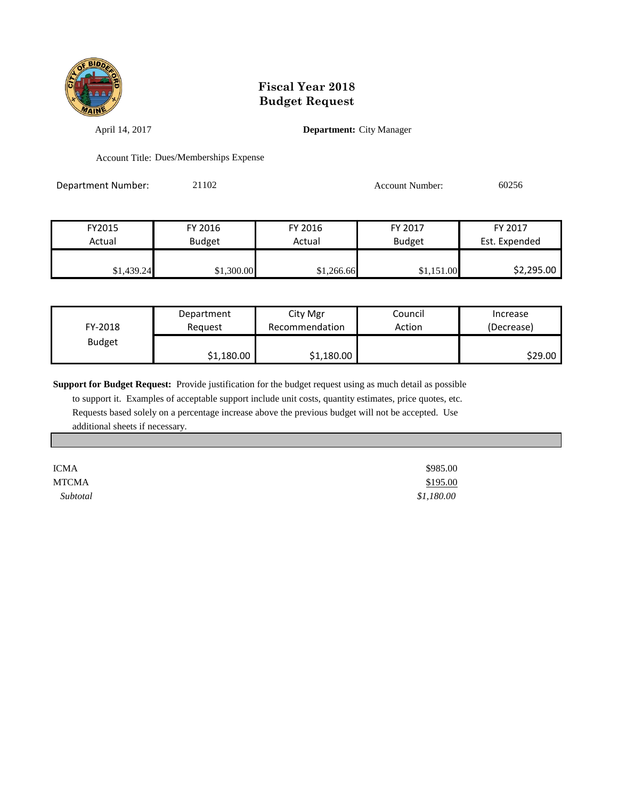

April 14, 2017 **Department:** City Manager

Account Title: Dues/Memberships Expense

Department Number: 21102 Account Number: 60256

| FY2015     | FY 2016       | FY 2016    | FY 2017       | FY 2017       |
|------------|---------------|------------|---------------|---------------|
| Actual     | <b>Budget</b> | Actual     | <b>Budget</b> | Est. Expended |
|            |               |            |               |               |
| \$1,439.24 | \$1,300.00    | \$1,266.66 | \$1,151.00    | \$2,295.00    |

| FY-2018       | Department | City Mgr       | Council | Increase   |
|---------------|------------|----------------|---------|------------|
|               | Reauest    | Recommendation | Action  | (Decrease) |
| <b>Budget</b> | \$1,180.00 | \$1,180.00     |         | S29.00     |

**Support for Budget Request:** Provide justification for the budget request using as much detail as possible to support it. Examples of acceptable support include unit costs, quantity estimates, price quotes, etc. Requests based solely on a percentage increase above the previous budget will not be accepted. Use additional sheets if necessary.

| <b>ICMA</b>  | \$985.00   |
|--------------|------------|
| <b>MTCMA</b> | \$195.00   |
| Subtotal     | \$1,180.00 |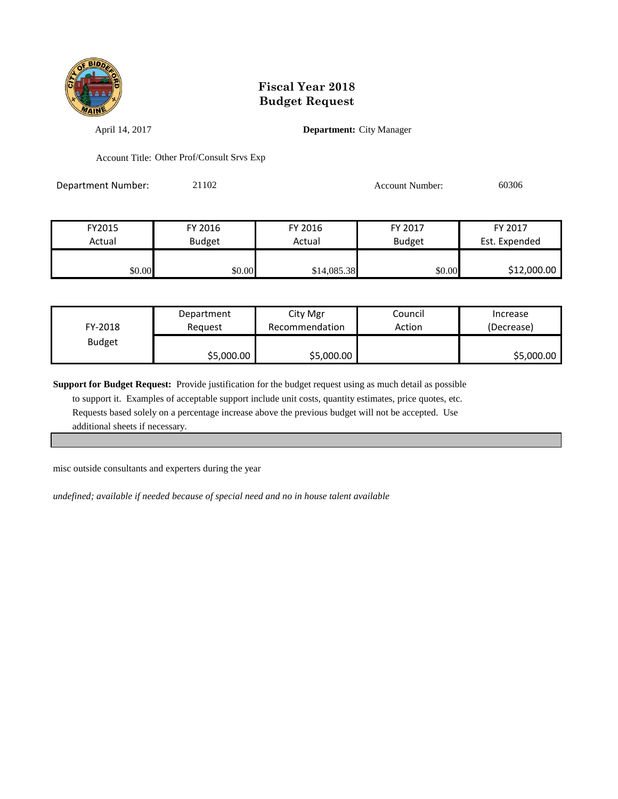

April 14, 2017 **Department:** City Manager

Account Title: Other Prof/Consult Srvs Exp

Department Number: 21102 Account Number: 60306

| FY2015 | FY 2016       | FY 2016     | FY 2017       | FY 2017       |
|--------|---------------|-------------|---------------|---------------|
| Actual | <b>Budget</b> | Actual      | <b>Budget</b> | Est. Expended |
|        |               |             |               |               |
| \$0.00 | \$0.00        | \$14,085.38 | \$0.00        | \$12,000.00   |

| FY-2018       | Department | City Mgr       | Council | Increase   |
|---------------|------------|----------------|---------|------------|
|               | Reauest    | Recommendation | Action  | (Decrease) |
| <b>Budget</b> | \$5,000.00 | \$5,000.00     |         | \$5,000.00 |

**Support for Budget Request:** Provide justification for the budget request using as much detail as possible

 to support it. Examples of acceptable support include unit costs, quantity estimates, price quotes, etc. Requests based solely on a percentage increase above the previous budget will not be accepted. Use additional sheets if necessary.

misc outside consultants and experters during the year

*undefined; available if needed because of special need and no in house talent available*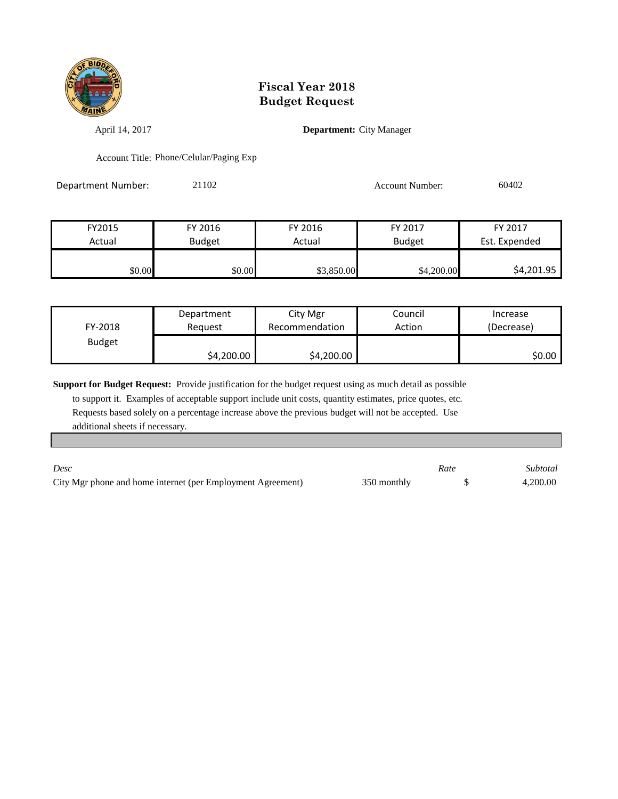

April 14, 2017 **Department:** City Manager

Account Title: Phone/Celular/Paging Exp

Department Number: 21102 2010 2010 Account Number: 60402

| FY2015 | FY 2016       | FY 2016    | FY 2017       | FY 2017       |
|--------|---------------|------------|---------------|---------------|
| Actual | <b>Budget</b> | Actual     | <b>Budget</b> | Est. Expended |
|        |               |            |               |               |
| \$0.00 | \$0.00        | \$3,850.00 | \$4,200.00    | \$4,201.95    |

| FY-2018       | Department | City Mgr       | Council | Increase   |
|---------------|------------|----------------|---------|------------|
|               | Reauest    | Recommendation | Action  | (Decrease) |
| <b>Budget</b> | \$4,200.00 | \$4,200.00     |         | SO.OO I    |

**Support for Budget Request:** Provide justification for the budget request using as much detail as possible

 to support it. Examples of acceptable support include unit costs, quantity estimates, price quotes, etc. Requests based solely on a percentage increase above the previous budget will not be accepted. Use additional sheets if necessary.

| Desc                                                        |             | Rate | Subtotal |
|-------------------------------------------------------------|-------------|------|----------|
| City Mgr phone and home internet (per Employment Agreement) | 350 monthly |      | 4.200.00 |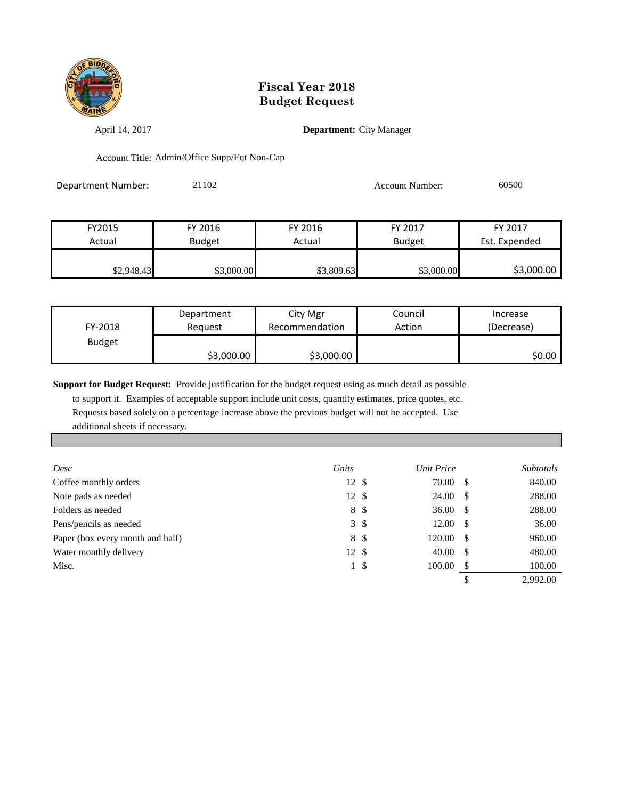

April 14, 2017 **Department:** City Manager

Account Title: Admin/Office Supp/Eqt Non-Cap

| Department Number: | 21102 | Account Number: | 60500 |
|--------------------|-------|-----------------|-------|
|                    |       |                 |       |

| FY2015     | FY 2016       | FY 2016                 | FY 2017    | FY 2017       |
|------------|---------------|-------------------------|------------|---------------|
| Actual     | <b>Budget</b> | <b>Budget</b><br>Actual |            | Est. Expended |
|            |               |                         |            |               |
| \$2,948.43 | \$3,000.00    | \$3,809.63              | \$3,000.00 | \$3,000.00    |

| FY-2018       | Department | City Mgr       | Council | Increase   |
|---------------|------------|----------------|---------|------------|
|               | Reguest    | Recommendation | Action  | (Decrease) |
| <b>Budget</b> | \$3,000.00 | \$3,000.00     |         | SO.OO      |

**Support for Budget Request:** Provide justification for the budget request using as much detail as possible

 to support it. Examples of acceptable support include unit costs, quantity estimates, price quotes, etc. Requests based solely on a percentage increase above the previous budget will not be accepted. Use additional sheets if necessary.

| Desc                             | Units         |              | Unit Price          |      | <i>Subtotals</i> |
|----------------------------------|---------------|--------------|---------------------|------|------------------|
| Coffee monthly orders            | 12S           |              | 70.00 \$            |      | 840.00           |
| Note pads as needed              | $12 \text{ }$ |              | $24.00\quad$ \$     |      | 288.00           |
| Folders as needed                |               | 8 \$         | 36.00 $\frac{1}{2}$ |      | 288.00           |
| Pens/pencils as needed           |               | $3 \sqrt{3}$ | $12.00 \quad$ \$    |      | 36.00            |
| Paper (box every month and half) |               | 8 \$         | $120.00 \quad$ \$   |      | 960.00           |
| Water monthly delivery           | 12S           |              | 40.00               | - \$ | 480.00           |
| Misc.                            |               | 1 \$         | 100.00              | - \$ | 100.00           |
|                                  |               |              |                     |      | 2.992.00         |